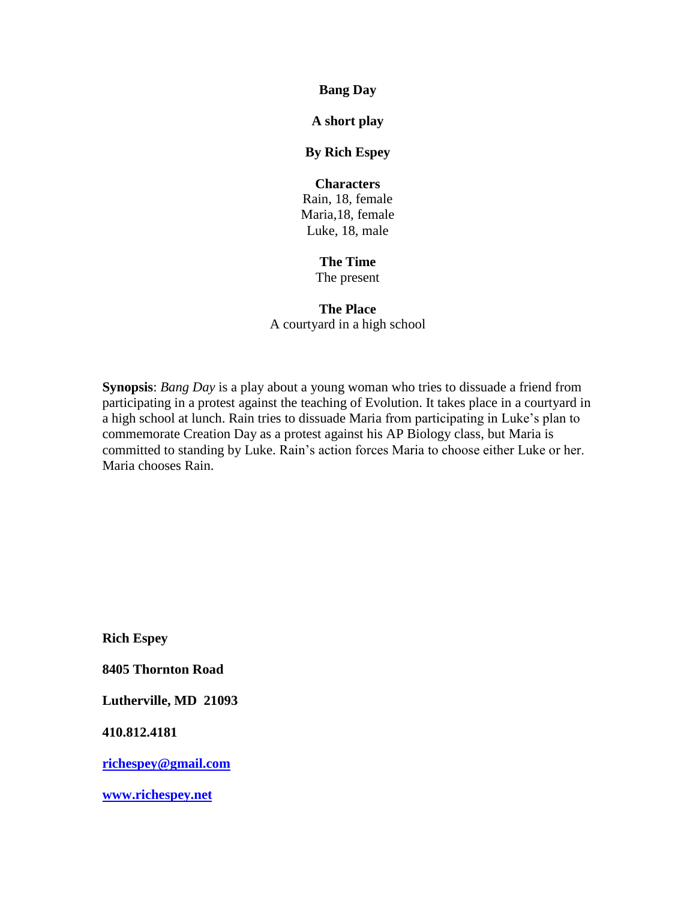**Bang Day**

**A short play**

### **By Rich Espey**

# **Characters**

Rain, 18, female Maria,18, female Luke, 18, male

# **The Time**

The present

# **The Place**

A courtyard in a high school

**Synopsis**: *Bang Day* is a play about a young woman who tries to dissuade a friend from participating in a protest against the teaching of Evolution. It takes place in a courtyard in a high school at lunch. Rain tries to dissuade Maria from participating in Luke's plan to commemorate Creation Day as a protest against his AP Biology class, but Maria is committed to standing by Luke. Rain's action forces Maria to choose either Luke or her. Maria chooses Rain.

**Rich Espey**

**8405 Thornton Road**

**Lutherville, MD 21093**

**410.812.4181**

**[richespey@gmail.com](mailto:richespey@gmail.com)**

**[www.richespey.net](http://www.richespey.net/)**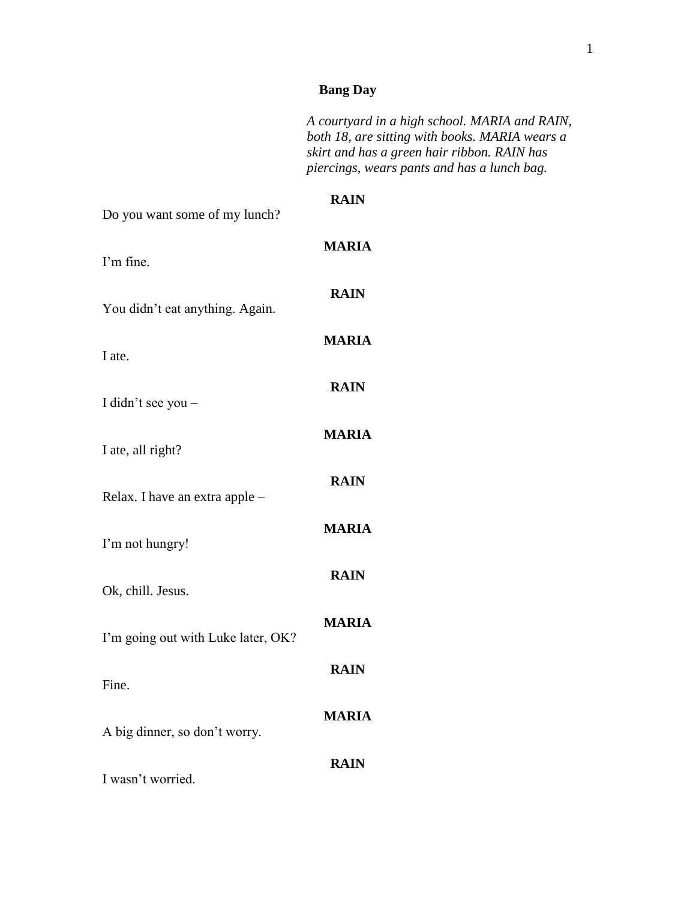# **Bang Day**

|                                    | A courtyard in a high school. MARIA and RAIN,<br>both 18, are sitting with books. MARIA wears a<br>skirt and has a green hair ribbon. RAIN has<br>piercings, wears pants and has a lunch bag. |
|------------------------------------|-----------------------------------------------------------------------------------------------------------------------------------------------------------------------------------------------|
| Do you want some of my lunch?      | <b>RAIN</b>                                                                                                                                                                                   |
| I'm fine.                          | <b>MARIA</b>                                                                                                                                                                                  |
| You didn't eat anything. Again.    | <b>RAIN</b>                                                                                                                                                                                   |
| I ate.                             | <b>MARIA</b>                                                                                                                                                                                  |
| I didn't see you -                 | <b>RAIN</b>                                                                                                                                                                                   |
| I ate, all right?                  | <b>MARIA</b>                                                                                                                                                                                  |
| Relax. I have an extra apple -     | <b>RAIN</b>                                                                                                                                                                                   |
| I'm not hungry!                    | <b>MARIA</b>                                                                                                                                                                                  |
| Ok, chill. Jesus.                  | <b>RAIN</b>                                                                                                                                                                                   |
| I'm going out with Luke later, OK? | <b>MARIA</b>                                                                                                                                                                                  |
| Fine.                              | <b>RAIN</b>                                                                                                                                                                                   |
| A big dinner, so don't worry.      | <b>MARIA</b>                                                                                                                                                                                  |
| I wasn't worried.                  | <b>RAIN</b>                                                                                                                                                                                   |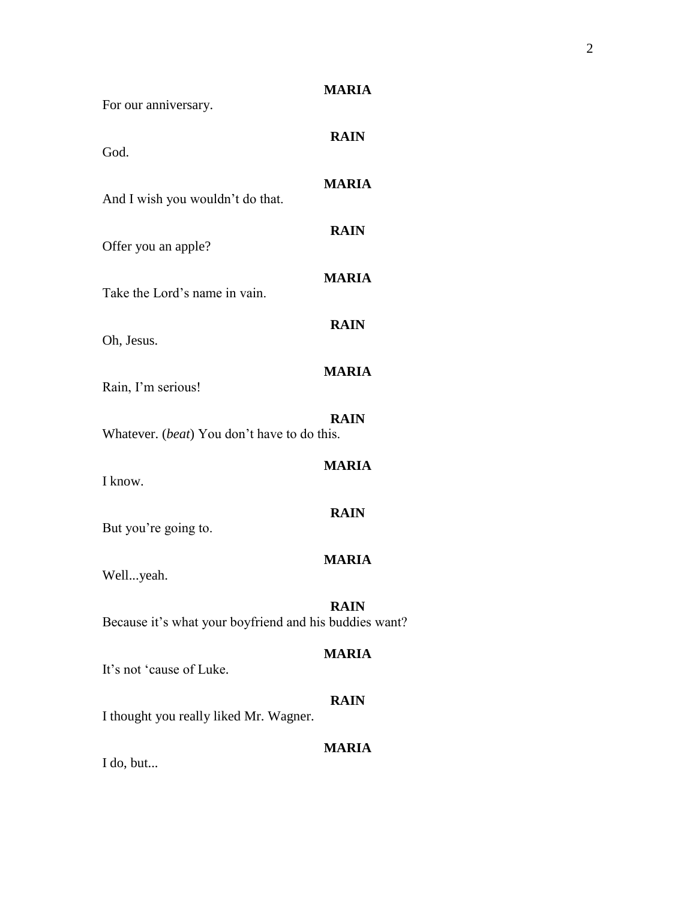| For our anniversary.                                   | <b>MARIA</b> |
|--------------------------------------------------------|--------------|
| God.                                                   | <b>RAIN</b>  |
| And I wish you wouldn't do that.                       | <b>MARIA</b> |
| Offer you an apple?                                    | <b>RAIN</b>  |
| Take the Lord's name in vain.                          | <b>MARIA</b> |
| Oh, Jesus.                                             | <b>RAIN</b>  |
| Rain, I'm serious!                                     | <b>MARIA</b> |
| Whatever. (beat) You don't have to do this.            | <b>RAIN</b>  |
| I know.                                                | <b>MARIA</b> |
|                                                        | <b>RAIN</b>  |
| But you're going to.                                   | <b>MARIA</b> |
| Wellyeah.                                              | <b>RAIN</b>  |
| Because it's what your boyfriend and his buddies want? | <b>MARIA</b> |
| It's not 'cause of Luke.                               | <b>RAIN</b>  |
| I thought you really liked Mr. Wagner.                 | <b>MARIA</b> |
| I do, but                                              |              |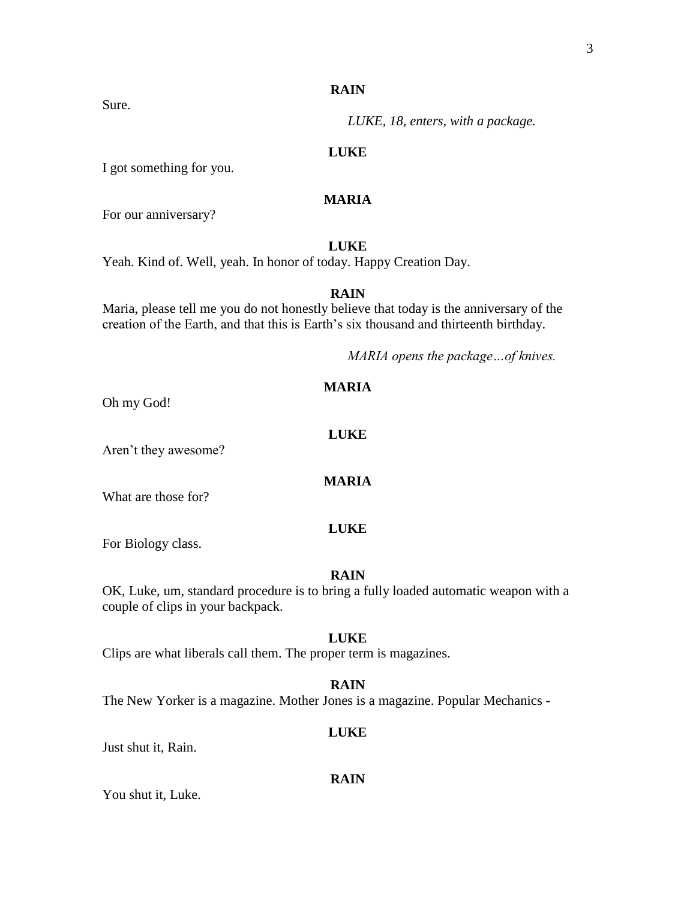### **RAIN**

*LUKE, 18, enters, with a package.*

### **LUKE**

I got something for you.

## **MARIA**

For our anniversary?

### **LUKE**

Yeah. Kind of. Well, yeah. In honor of today. Happy Creation Day.

### **RAIN**

Maria, please tell me you do not honestly believe that today is the anniversary of the creation of the Earth, and that this is Earth's six thousand and thirteenth birthday.

*MARIA opens the package…of knives.*

Oh my God!

Aren't they awesome?

What are those for?

#### **LUKE**

For Biology class.

### **RAIN**

OK, Luke, um, standard procedure is to bring a fully loaded automatic weapon with a couple of clips in your backpack.

### **LUKE**

Clips are what liberals call them. The proper term is magazines.

### **RAIN**

The New Yorker is a magazine. Mother Jones is a magazine. Popular Mechanics -

### **LUKE**

Just shut it, Rain.

#### **RAIN**

You shut it, Luke.

### **MARIA**

**LUKE**

**MARIA**

Sure.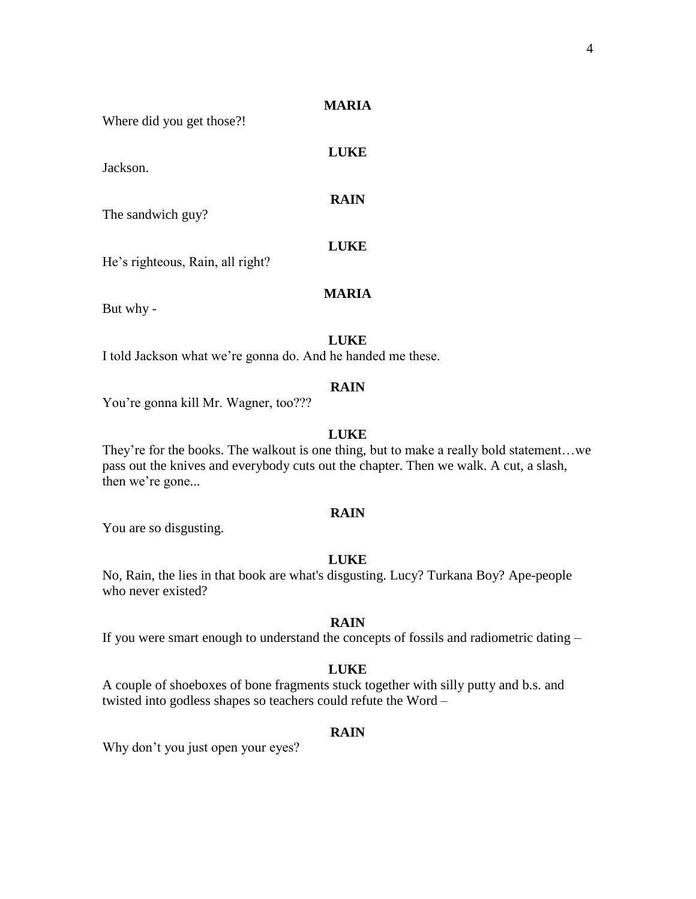**LUKE**

**RAIN**

Where did you get those?!

Jackson.

The sandwich guy?

**LUKE**

**MARIA**

He's righteous, Rain, all right?

But why -

**LUKE**

I told Jackson what we're gonna do. And he handed me these.

#### **RAIN**

You're gonna kill Mr. Wagner, too???

### **LUKE**

They're for the books. The walkout is one thing, but to make a really bold statement…we pass out the knives and everybody cuts out the chapter. Then we walk. A cut, a slash, then we're gone...

#### **RAIN**

You are so disgusting.

#### **LUKE**

No, Rain, the lies in that book are what's disgusting. Lucy? Turkana Boy? Ape-people who never existed?

### **RAIN**

If you were smart enough to understand the concepts of fossils and radiometric dating –

### **LUKE**

A couple of shoeboxes of bone fragments stuck together with silly putty and b.s. and twisted into godless shapes so teachers could refute the Word –

### **RAIN**

Why don't you just open your eyes?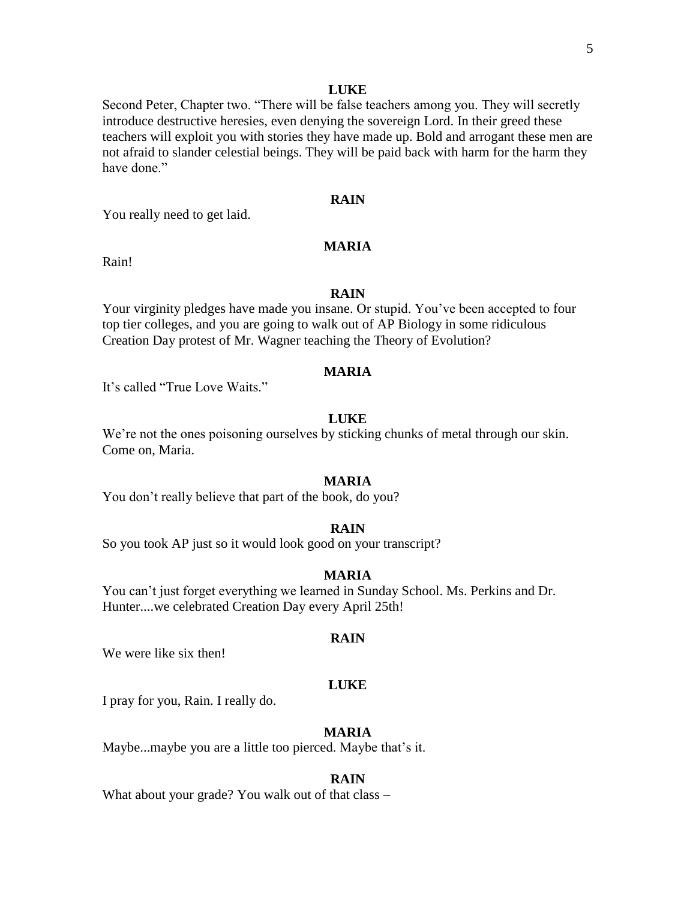#### **LUKE**

Second Peter, Chapter two. "There will be false teachers among you. They will secretly introduce destructive heresies, even denying the sovereign Lord. In their greed these teachers will exploit you with stories they have made up. Bold and arrogant these men are not afraid to slander celestial beings. They will be paid back with harm for the harm they have done."

### **RAIN**

You really need to get laid.

### **MARIA**

Rain!

### **RAIN**

Your virginity pledges have made you insane. Or stupid. You've been accepted to four top tier colleges, and you are going to walk out of AP Biology in some ridiculous Creation Day protest of Mr. Wagner teaching the Theory of Evolution?

#### **MARIA**

It's called "True Love Waits."

### **LUKE**

We're not the ones poisoning ourselves by sticking chunks of metal through our skin. Come on, Maria.

#### **MARIA**

You don't really believe that part of the book, do you?

### **RAIN**

So you took AP just so it would look good on your transcript?

### **MARIA**

You can't just forget everything we learned in Sunday School. Ms. Perkins and Dr. Hunter....we celebrated Creation Day every April 25th!

#### **RAIN**

We were like six then!

#### **LUKE**

I pray for you, Rain. I really do.

### **MARIA**

Maybe...maybe you are a little too pierced. Maybe that's it.

#### **RAIN**

What about your grade? You walk out of that class –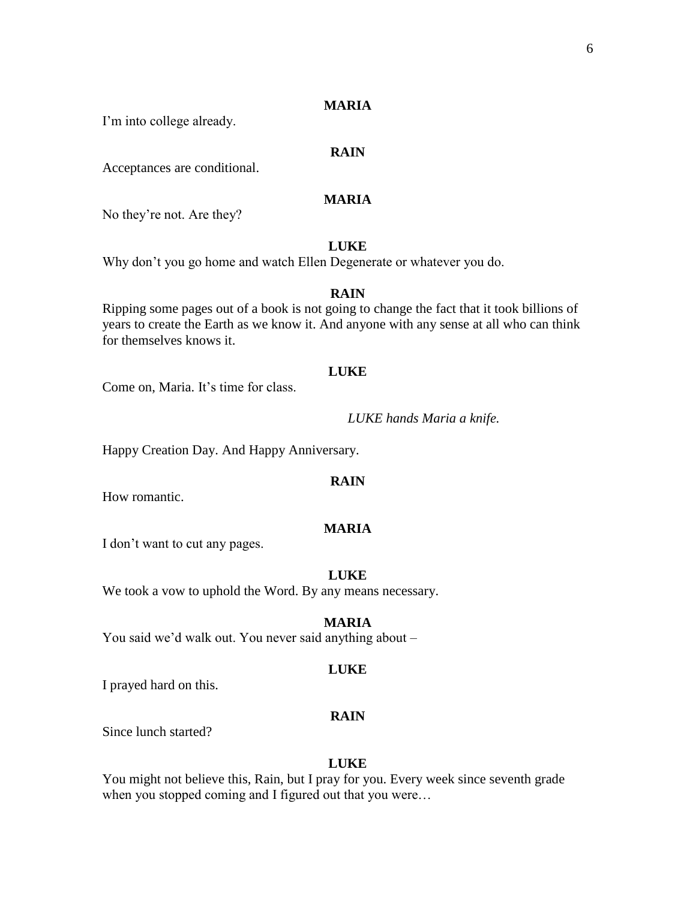I'm into college already.

### **RAIN**

Acceptances are conditional.

## **MARIA**

No they're not. Are they?

### **LUKE**

Why don't you go home and watch Ellen Degenerate or whatever you do.

### **RAIN**

Ripping some pages out of a book is not going to change the fact that it took billions of years to create the Earth as we know it. And anyone with any sense at all who can think for themselves knows it.

#### **LUKE**

Come on, Maria. It's time for class.

*LUKE hands Maria a knife.*

Happy Creation Day. And Happy Anniversary.

#### **RAIN**

How romantic.

#### **MARIA**

I don't want to cut any pages.

#### **LUKE**

We took a vow to uphold the Word. By any means necessary.

### **MARIA**

You said we'd walk out. You never said anything about –

### **LUKE**

I prayed hard on this.

#### **RAIN**

Since lunch started?

#### **LUKE**

You might not believe this, Rain, but I pray for you. Every week since seventh grade when you stopped coming and I figured out that you were...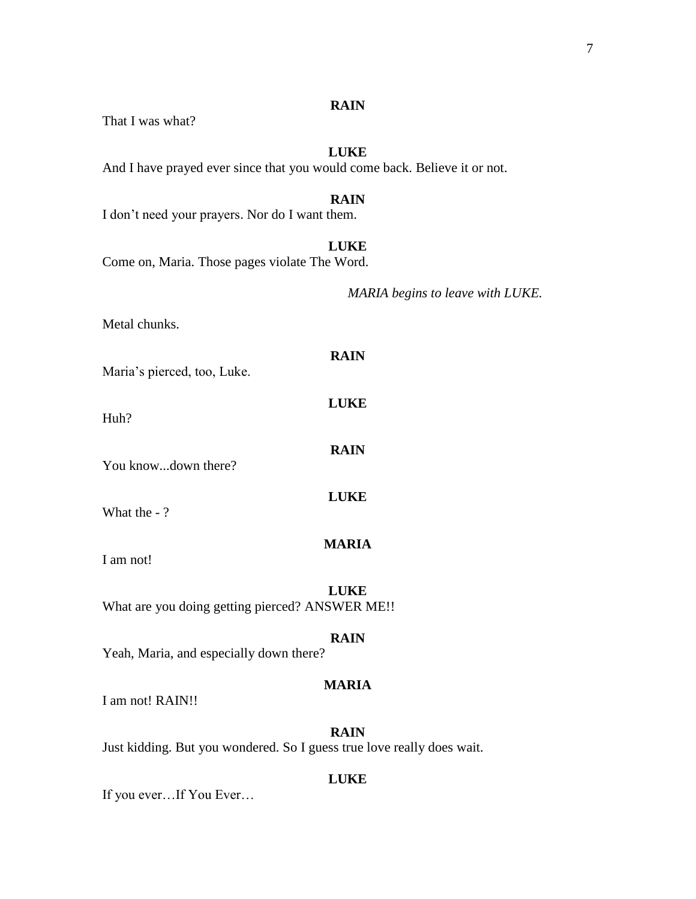### **RAIN**

That I was what?

# **LUKE**

And I have prayed ever since that you would come back. Believe it or not.

### **RAIN**

I don't need your prayers. Nor do I want them.

### **LUKE**

**RAIN**

**LUKE**

**RAIN**

**LUKE**

Come on, Maria. Those pages violate The Word.

*MARIA begins to leave with LUKE.*

Metal chunks.

Maria's pierced, too, Luke.

Huh?

You know...down there?

What the - ?

I am not!

**LUKE**

**MARIA**

What are you doing getting pierced? ANSWER ME!!

### **RAIN**

Yeah, Maria, and especially down there?

#### **MARIA**

I am not! RAIN!!

### **RAIN**

Just kidding. But you wondered. So I guess true love really does wait.

#### **LUKE**

If you ever…If You Ever…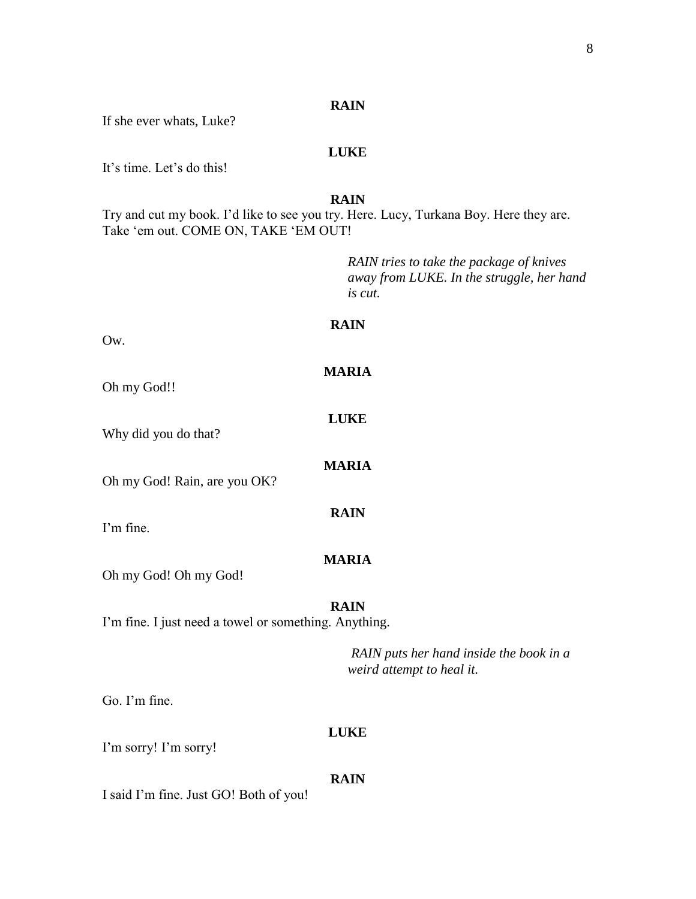### **RAIN**

If she ever whats, Luke?

### **LUKE**

It's time. Let's do this!

**RAIN**

Try and cut my book. I'd like to see you try. Here. Lucy, Turkana Boy. Here they are. Take 'em out. COME ON, TAKE 'EM OUT!

> *RAIN tries to take the package of knives away from LUKE. In the struggle, her hand is cut.*

### **RAIN**

**MARIA**

**LUKE**

**MARIA**

**RAIN**

Ow.

Oh my God!!

Why did you do that?

Oh my God! Rain, are you OK?

I'm fine.

**MARIA**

Oh my God! Oh my God!

#### **RAIN**

I'm fine. I just need a towel or something. Anything.

*RAIN puts her hand inside the book in a weird attempt to heal it.*

Go. I'm fine.

#### **LUKE**

I'm sorry! I'm sorry!

#### **RAIN**

I said I'm fine. Just GO! Both of you!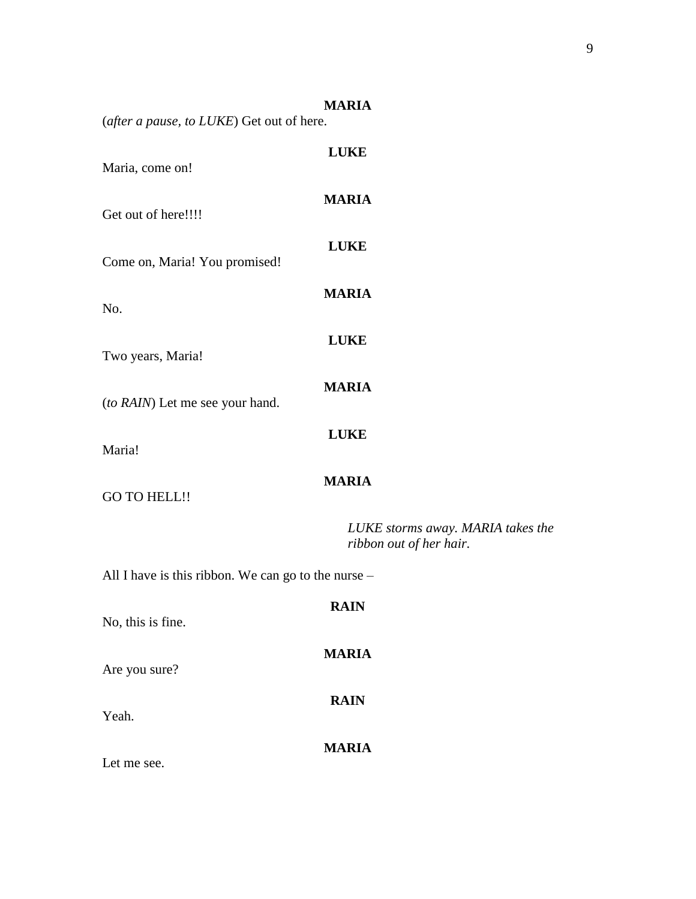|                                                     | <b>MARIA</b>                                                 |  |
|-----------------------------------------------------|--------------------------------------------------------------|--|
| (after a pause, to LUKE) Get out of here.           |                                                              |  |
| Maria, come on!                                     | <b>LUKE</b>                                                  |  |
| Get out of here!!!!                                 | <b>MARIA</b>                                                 |  |
| Come on, Maria! You promised!                       | <b>LUKE</b>                                                  |  |
| No.                                                 | <b>MARIA</b>                                                 |  |
| Two years, Maria!                                   | <b>LUKE</b>                                                  |  |
| (to RAIN) Let me see your hand.                     | <b>MARIA</b>                                                 |  |
| Maria!                                              | <b>LUKE</b>                                                  |  |
| <b>GO TO HELL!!</b>                                 | <b>MARIA</b>                                                 |  |
|                                                     | LUKE storms away. MARIA takes the<br>ribbon out of her hair. |  |
| All I have is this ribbon. We can go to the nurse - |                                                              |  |
| No, this is fine.                                   | <b>RAIN</b>                                                  |  |
| Are you sure?                                       | <b>MARIA</b>                                                 |  |
| Yeah.                                               | <b>RAIN</b>                                                  |  |
| Let me see.                                         | <b>MARIA</b>                                                 |  |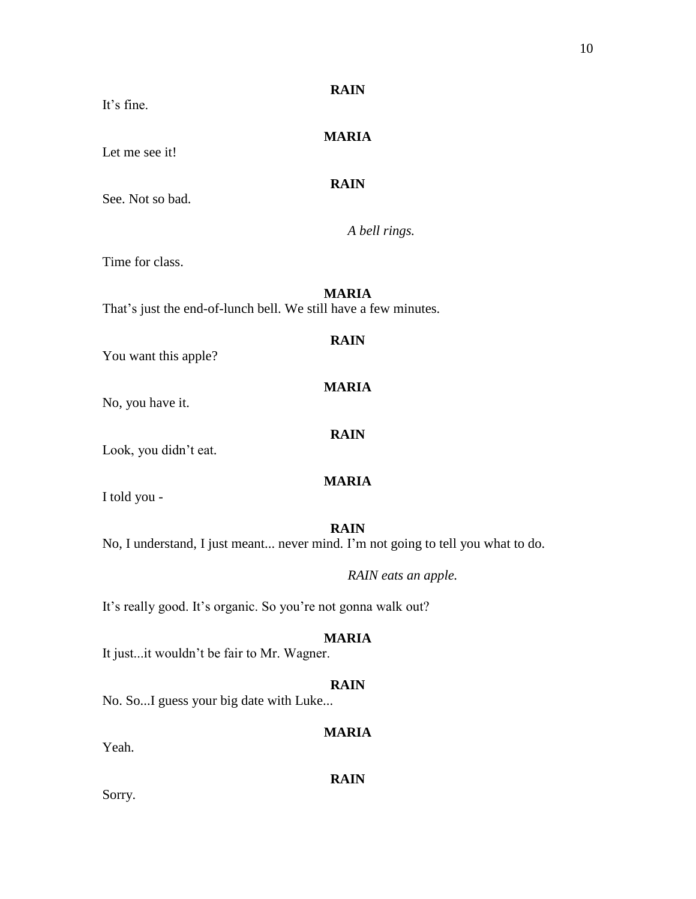| <b>MARIA</b><br>Let me see it!                                                                  |  |  |
|-------------------------------------------------------------------------------------------------|--|--|
| <b>RAIN</b><br>See. Not so bad.                                                                 |  |  |
| A bell rings.                                                                                   |  |  |
| Time for class.                                                                                 |  |  |
| <b>MARIA</b><br>That's just the end-of-lunch bell. We still have a few minutes.                 |  |  |
| <b>RAIN</b><br>You want this apple?                                                             |  |  |
| <b>MARIA</b><br>No, you have it.                                                                |  |  |
| <b>RAIN</b><br>Look, you didn't eat.                                                            |  |  |
| <b>MARIA</b><br>I told you -                                                                    |  |  |
| <b>RAIN</b><br>No, I understand, I just meant never mind. I'm not going to tell you what to do. |  |  |
| RAIN eats an apple.                                                                             |  |  |
| It's really good. It's organic. So you're not gonna walk out?                                   |  |  |

It just...it wouldn't be fair to Mr. Wagner.

# **RAIN**

No. So...I guess your big date with Luke...

# **MARIA**

Yeah.

**RAIN**

Sorry.

# **RAIN**

It's fine.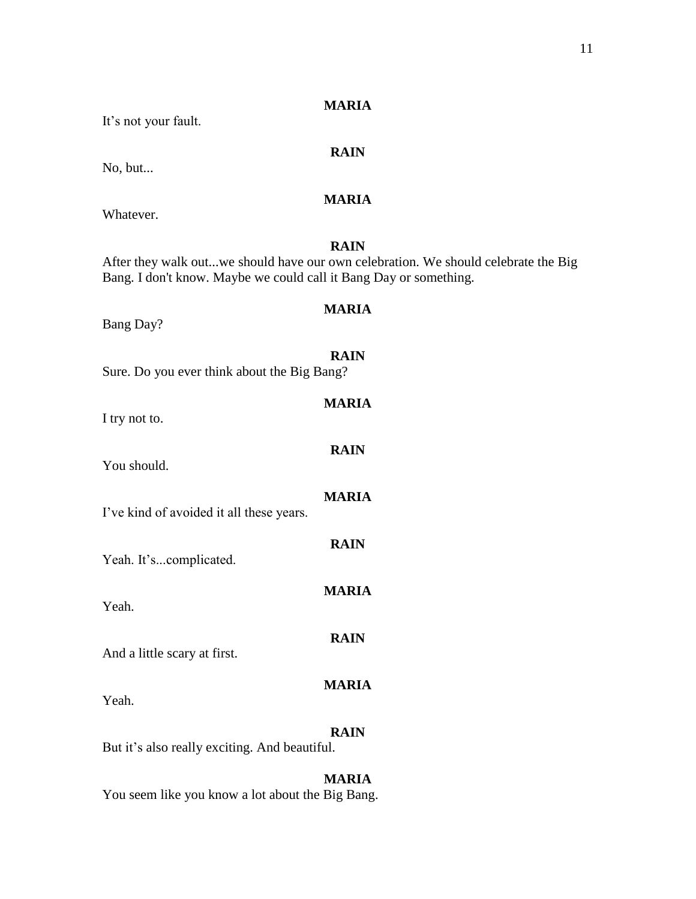| It's not your fault.                                              |                                                                                                   |
|-------------------------------------------------------------------|---------------------------------------------------------------------------------------------------|
| No, but                                                           | <b>RAIN</b>                                                                                       |
| Whatever.                                                         | <b>MARIA</b>                                                                                      |
| Bang. I don't know. Maybe we could call it Bang Day or something. | <b>RAIN</b><br>After they walk outwe should have our own celebration. We should celebrate the Big |
| Bang Day?                                                         | <b>MARIA</b>                                                                                      |
| Sure. Do you ever think about the Big Bang?                       | <b>RAIN</b>                                                                                       |
| I try not to.                                                     | <b>MARIA</b>                                                                                      |
| You should.                                                       | <b>RAIN</b>                                                                                       |
| I've kind of avoided it all these years.                          | <b>MARIA</b>                                                                                      |
| Yeah. It'scomplicated.                                            | <b>RAIN</b>                                                                                       |
| Yeah.                                                             | <b>MARIA</b>                                                                                      |
| And a little scary at first.                                      | <b>RAIN</b>                                                                                       |
| Yeah.                                                             | <b>MARIA</b>                                                                                      |
| But it's also really exciting. And beautiful.                     | <b>RAIN</b>                                                                                       |
|                                                                   | <b>MARIA</b>                                                                                      |

You seem like you know a lot about the Big Bang.